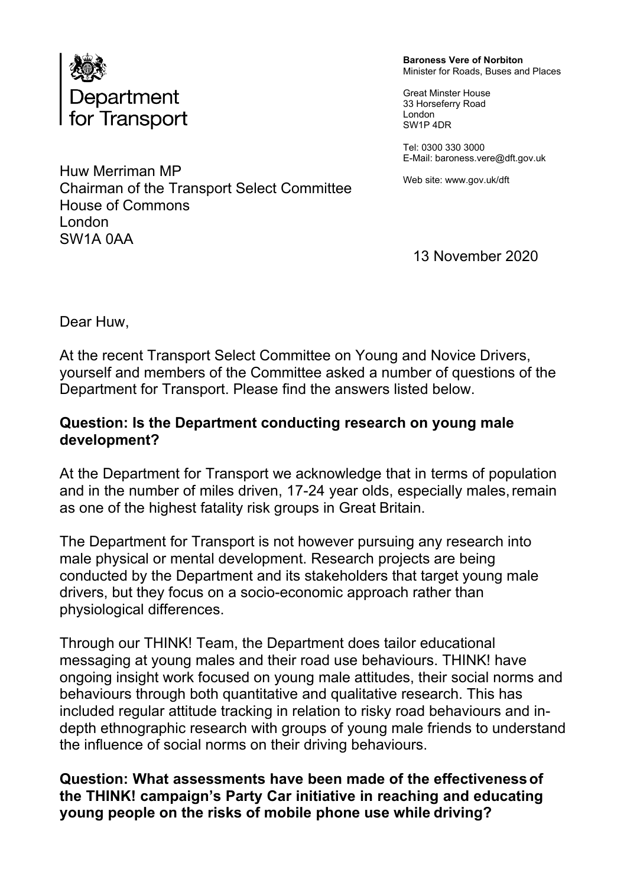

Huw Merriman MP

House of Commons

Chairman of the Transport Select Committee

**Baroness Vere of Norbiton** Minister for Roads, Buses and Places

Great Minster House 33 Horseferry Road London SW1P 4DR

Tel: 0300 330 3000 E-Mail: [baroness.vere@dft.gov.uk](mailto:baroness.vere@dft.gov.uk)

Web site: [www.gov.uk/dft](http://www.gov.uk/dft)

13 November 2020

Dear Huw,

London SW1A 0AA

At the recent Transport Select Committee on Young and Novice Drivers, yourself and members of the Committee asked a number of questions of the Department for Transport. Please find the answers listed below.

## **Question: Is the Department conducting research on young male development?**

At the Department for Transport we acknowledge that in terms of population and in the number of miles driven, 17-24 year olds, especially males,remain as one of the highest fatality risk groups in Great Britain.

The Department for Transport is not however pursuing any research into male physical or mental development. Research projects are being conducted by the Department and its stakeholders that target young male drivers, but they focus on a socio-economic approach rather than physiological differences.

Through our THINK! Team, the Department does tailor educational messaging at young males and their road use behaviours. THINK! have ongoing insight work focused on young male attitudes, their social norms and behaviours through both quantitative and qualitative research. This has included regular attitude tracking in relation to risky road behaviours and indepth ethnographic research with groups of young male friends to understand the influence of social norms on their driving behaviours.

**Question: What assessments have been made of the effectivenessof the THINK! campaign's Party Car initiative in reaching and educating young people on the risks of mobile phone use while driving?**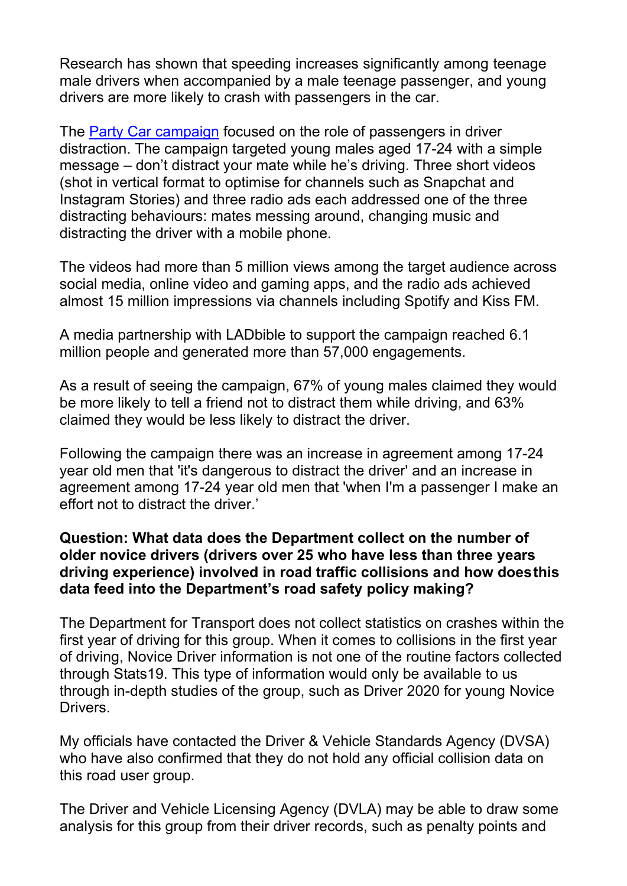Research has shown that speeding increases significantly among teenage male drivers when accompanied by a male teenage passenger, and young drivers are more likely to crash with passengers in the car.

The [Party](https://www.think.gov.uk/campaign/party-car/) [Car](https://www.think.gov.uk/campaign/party-car/) [campaign](https://www.think.gov.uk/campaign/party-car/) focused on the role of passengers in driver distraction. The campaign targeted young males aged 17-24 with a simple message – don't distract your mate while he's driving. Three short videos (shot in vertical format to optimise for channels such as Snapchat and Instagram Stories) and three radio ads each addressed one of the three distracting behaviours: mates messing around, changing music and distracting the driver with a mobile phone.

The videos had more than 5 million views among the target audience across social media, online video and gaming apps, and the radio ads achieved almost 15 million impressions via channels including Spotify and Kiss FM.

A media partnership with LADbible to support the campaign reached 6.1 million people and generated more than 57,000 engagements.

As a result of seeing the campaign, 67% of young males claimed they would be more likely to tell a friend not to distract them while driving, and 63% claimed they would be less likely to distract the driver.

Following the campaign there was an increase in agreement among 17-24 year old men that 'it's dangerous to distract the driver' and an increase in agreement among 17-24 year old men that 'when I'm a passenger I make an effort not to distract the driver.'

## **Question: What data does the Department collect on the number of older novice drivers (drivers over 25 who have less than three years driving experience) involved in road traffic collisions and how doesthis data feed into the Department's road safety policy making?**

The Department for Transport does not collect statistics on crashes within the first year of driving for this group. When it comes to collisions in the first year of driving, Novice Driver information is not one of the routine factors collected through Stats19. This type of information would only be available to us through in-depth studies of the group, such as Driver 2020 for young Novice Drivers.

My officials have contacted the Driver & Vehicle Standards Agency (DVSA) who have also confirmed that they do not hold any official collision data on this road user group.

The Driver and Vehicle Licensing Agency (DVLA) may be able to draw some analysis for this group from their driver records, such as penalty points and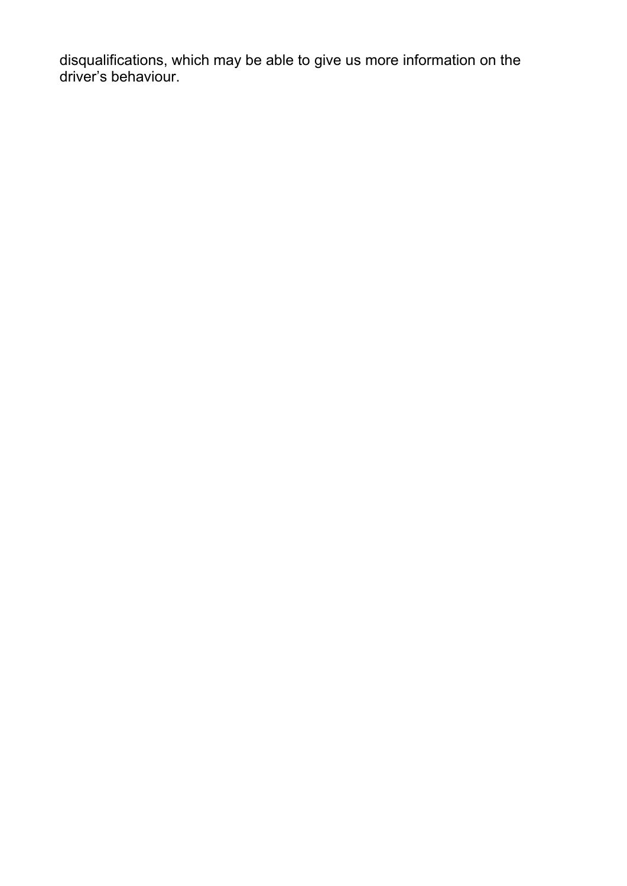disqualifications, which may be able to give us more information on the driver's behaviour.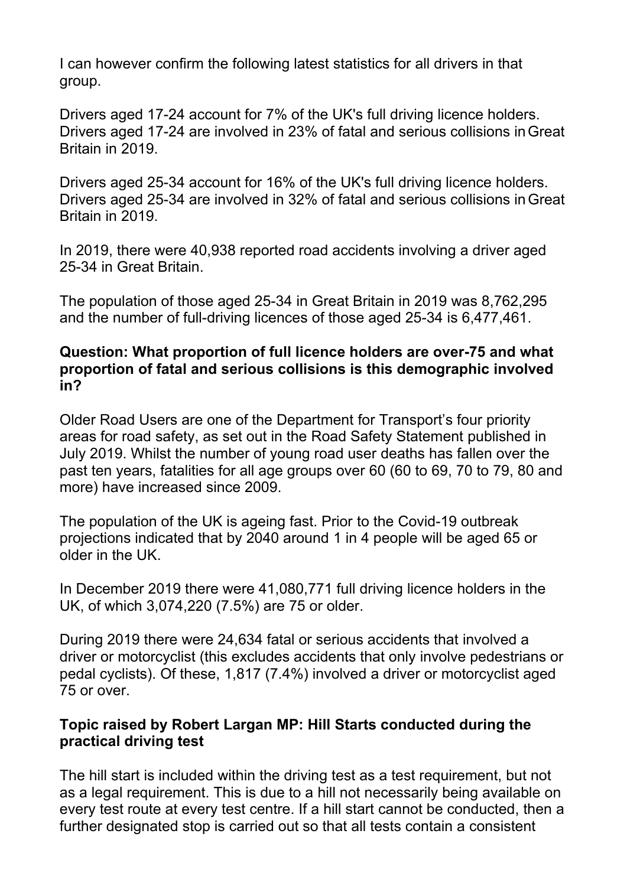I can however confirm the following latest statistics for all drivers in that group.

Drivers aged 17-24 account for 7% of the UK's full driving licence holders. Drivers aged 17-24 are involved in 23% of fatal and serious collisions inGreat Britain in 2019.

Drivers aged 25-34 account for 16% of the UK's full driving licence holders. Drivers aged 25-34 are involved in 32% of fatal and serious collisions inGreat Britain in 2019.

In 2019, there were 40,938 reported road accidents involving a driver aged 25-34 in Great Britain.

The population of those aged 25-34 in Great Britain in 2019 was 8,762,295 and the number of full-driving licences of those aged 25-34 is 6,477,461.

## **Question: What proportion of full licence holders are over-75 and what proportion of fatal and serious collisions is this demographic involved in?**

Older Road Users are one of the Department for Transport's four priority areas for road safety, as set out in the Road Safety Statement published in July 2019. Whilst the number of young road user deaths has fallen over the past ten years, fatalities for all age groups over 60 (60 to 69, 70 to 79, 80 and more) have increased since 2009.

The population of the UK is ageing fast. Prior to the Covid-19 outbreak projections indicated that by 2040 around 1 in 4 people will be aged 65 or older in the UK.

In December 2019 there were 41,080,771 full driving licence holders in the UK, of which 3,074,220 (7.5%) are 75 or older.

During 2019 there were 24,634 fatal or serious accidents that involved a driver or motorcyclist (this excludes accidents that only involve pedestrians or pedal cyclists). Of these, 1,817 (7.4%) involved a driver or motorcyclist aged 75 or over.

## **Topic raised by Robert Largan MP: Hill Starts conducted during the practical driving test**

The hill start is included within the driving test as a test requirement, but not as a legal requirement. This is due to a hill not necessarily being available on every test route at every test centre. If a hill start cannot be conducted, then a further designated stop is carried out so that all tests contain a consistent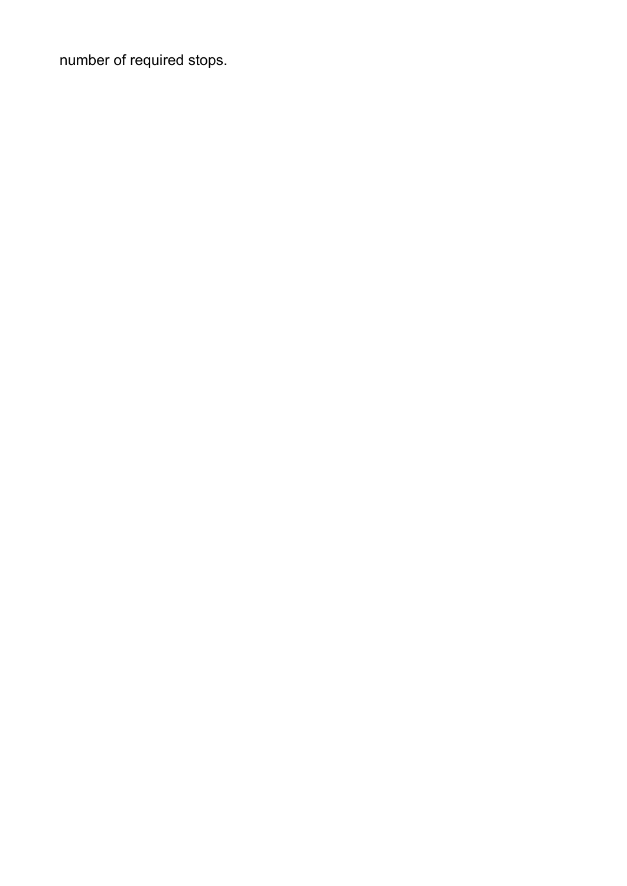number of required stops.